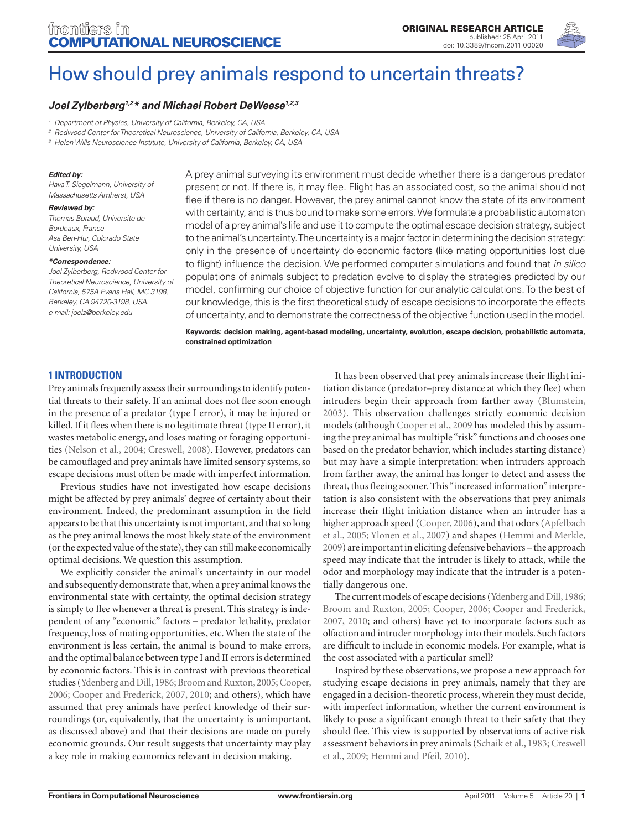

# [How should prey animals respond to uncertain threats?](http://www.frontiersin.org/computational_neuroscience/10.3389/fncom.2011.00020/abstract)

# *[Joel Zylberberg](http://www.frontiersin.org/people/zylberbergjoel/25886)1,2\* and [Michael Robert DeWeese1,](http://www.frontiersin.org/people/michaeldeweese/27885)2,3*

*<sup>2</sup> Redwood Center for Theoretical Neuroscience, University of California, Berkeley, CA, USA*

*<sup>3</sup> Helen Wills Neuroscience Institute, University of California, Berkeley, CA, USA*

### *Edited by:*

*Hava T. Siegelmann, University of Massachusetts Amherst, USA*

### *Reviewed by:*

*Thomas Boraud, Universite de Bordeaux, France Asa Ben-Hur, Colorado State University, USA*

### *\*Correspondence:*

*Joel Zylberberg, Redwood Center for Theoretical Neuroscience, University of California, 575A Evans Hall, MC 3198, Berkeley, CA 94720-3198, USA. e-mail: joelz@berkeley.edu*

A prey animal surveying its environment must decide whether there is a dangerous predator present or not. If there is, it may flee. Flight has an associated cost, so the animal should not flee if there is no danger. However, the prey animal cannot know the state of its environment with certainty, and is thus bound to make some errors. We formulate a probabilistic automaton model of a prey animal's life and use it to compute the optimal escape decision strategy, subject to the animal's uncertainty. The uncertainty is a major factor in determining the decision strategy: only in the presence of uncertainty do economic factors (like mating opportunities lost due to flight) influence the decision. We performed computer simulations and found that *in silico* populations of animals subject to predation evolve to display the strategies predicted by our model, confirming our choice of objective function for our analytic calculations. To the best of our knowledge, this is the first theoretical study of escape decisions to incorporate the effects of uncertainty, and to demonstrate the correctness of the objective function used in the model.

**Keywords: decision making, agent-based modeling, uncertainty, evolution, escape decision, probabilistic automata, constrained optimization**

# **1 Introduction**

Prey animals frequently assess their surroundings to identify potential threats to their safety. If an animal does not flee soon enough in the presence of a predator (type I error), it may be injured or killed. If it flees when there is no legitimate threat (type II error), it wastes metabolic energy, and loses mating or foraging opportunities (Nelson et al., 2004; Creswell, 2008). However, predators can be camouflaged and prey animals have limited sensory systems, so escape decisions must often be made with imperfect information.

Previous studies have not investigated how escape decisions might be affected by prey animals' degree of certainty about their environment. Indeed, the predominant assumption in the field appears to be that this uncertainty is not important, and that so long as the prey animal knows the most likely state of the environment (or the expected value of the state), they can still make economically optimal decisions. We question this assumption.

We explicitly consider the animal's uncertainty in our model and subsequently demonstrate that, when a prey animal knows the environmental state with certainty, the optimal decision strategy is simply to flee whenever a threat is present. This strategy is independent of any "economic" factors – predator lethality, predator frequency, loss of mating opportunities, etc. When the state of the environment is less certain, the animal is bound to make errors, and the optimal balance between type I and II errors is determined by economic factors. This is in contrast with previous theoretical studies (Ydenberg and Dill, 1986; Broom and Ruxton, 2005; Cooper, 2006; Cooper and Frederick, 2007, 2010; and others), which have assumed that prey animals have perfect knowledge of their surroundings (or, equivalently, that the uncertainty is unimportant, as discussed above) and that their decisions are made on purely economic grounds. Our result suggests that uncertainty may play a key role in making economics relevant in decision making.

It has been observed that prey animals increase their flight initiation distance (predator–prey distance at which they flee) when intruders begin their approach from farther away (Blumstein, 2003). This observation challenges strictly economic decision models (although Cooper et al., 2009 has modeled this by assuming the prey animal has multiple "risk" functions and chooses one based on the predator behavior, which includes starting distance) but may have a simple interpretation: when intruders approach from farther away, the animal has longer to detect and assess the threat, thus fleeing sooner. This "increased information" interpretation is also consistent with the observations that prey animals increase their flight initiation distance when an intruder has a higher approach speed (Cooper, 2006), and that odors (Apfelbach et al., 2005; Ylonen et al., 2007) and shapes (Hemmi and Merkle, 2009) are important in eliciting defensive behaviors – the approach speed may indicate that the intruder is likely to attack, while the odor and morphology may indicate that the intruder is a potentially dangerous one.

The current models of escape decisions (Ydenberg and Dill, 1986; Broom and Ruxton, 2005; Cooper, 2006; Cooper and Frederick, 2007, 2010; and others) have yet to incorporate factors such as olfaction and intruder morphology into their models. Such factors are difficult to include in economic models. For example, what is the cost associated with a particular smell?

Inspired by these observations, we propose a new approach for studying escape decisions in prey animals, namely that they are engaged in a decision-theoretic process, wherein they must decide, with imperfect information, whether the current environment is likely to pose a significant enough threat to their safety that they should flee. This view is supported by observations of active risk assessment behaviors in prey animals (Schaik et al., 1983; Creswell et al., 2009; Hemmi and Pfeil, 2010).

*<sup>1</sup> Department of Physics, University of California, Berkeley, CA, USA*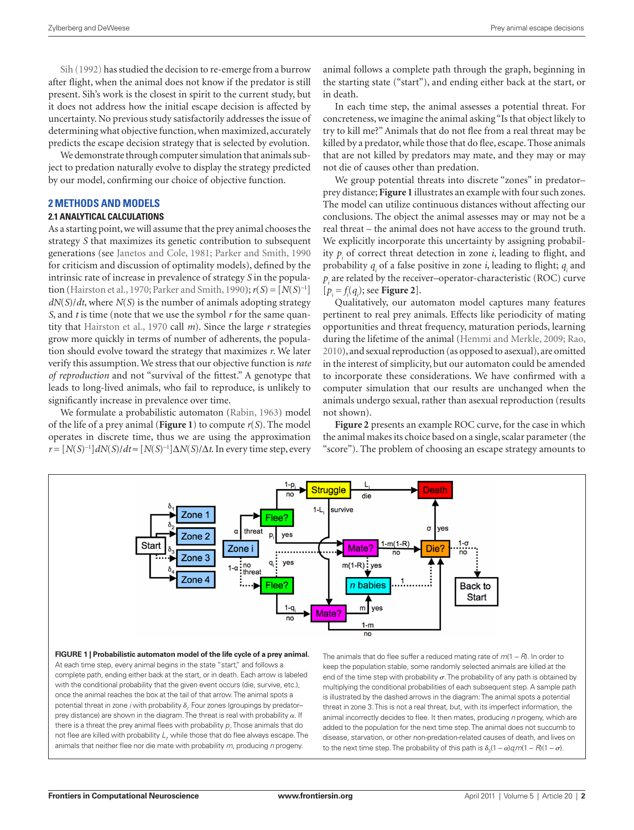Sih (1992) has studied the decision to re-emerge from a burrow after flight, when the animal does not know if the predator is still present. Sih's work is the closest in spirit to the current study, but it does not address how the initial escape decision is affected by uncertainty. No previous study satisfactorily addresses the issue of determining what objective function, when maximized, accurately predicts the escape decision strategy that is selected by evolution.

We demonstrate through computer simulation that animals subject to predation naturally evolve to display the strategy predicted by our model, confirming our choice of objective function.

# **2 Methods and Models**

# **2.1 Analytical calculations**

As a starting point, we will assume that the prey animal chooses the strategy *S* that maximizes its genetic contribution to subsequent generations (see Janetos and Cole, 1981; Parker and Smith, 1990 for criticism and discussion of optimality models), defined by the intrinsic rate of increase in prevalence of strategy *S* in the population (Hairston et al., 1970; Parker and Smith, 1990); *r*(*S*) = [*N*(*S*)<sup>−</sup><sup>1</sup> ] *dN*(*S*)/*dt*, where *N*(*S*) is the number of animals adopting strategy *S*, and *t* is time (note that we use the symbol *r* for the same quantity that Hairston et al., 1970 call *m*). Since the large *r* strategies grow more quickly in terms of number of adherents, the population should evolve toward the strategy that maximizes *r*. We later verify this assumption. We stress that our objective function is *rate of reproduction* and not "survival of the fittest." A genotype that leads to long-lived animals, who fail to reproduce, is unlikely to significantly increase in prevalence over time.

We formulate a probabilistic automaton (Rabin, 1963) model of the life of a prey animal (**Figure 1**) to compute *r*(*S*). The model operates in discrete time, thus we are using the approximation *r* = [*N*(*S*)<sup>−</sup><sup>1</sup> ]*dN*(*S*)/*dt* ≈ [*N*(*S*)<sup>−</sup><sup>1</sup> ]∆*N*(*S*)/∆*t*. In every time step, every

animal follows a complete path through the graph, beginning in the starting state ("start"), and ending either back at the start, or in death.

In each time step, the animal assesses a potential threat. For concreteness, we imagine the animal asking "Is that object likely to try to kill me?" Animals that do not flee from a real threat may be killed by a predator, while those that do flee, escape. Those animals that are not killed by predators may mate, and they may or may not die of causes other than predation.

We group potential threats into discrete "zones" in predatorprey distance; **Figure 1** illustrates an example with four such zones. The model can utilize continuous distances without affecting our conclusions. The object the animal assesses may or may not be a real threat – the animal does not have access to the ground truth. We explicitly incorporate this uncertainty by assigning probability  $p_i$  of correct threat detection in zone  $i$ , leading to flight, and probability  $q_i$  of a false positive in zone *i*, leading to flight;  $q_i$  and  $p_i$  are related by the receiver–operator-characteristic (ROC) curve  $[p_i = f_i(q_i);$  see **Figure** 2].

Qualitatively, our automaton model captures many features pertinent to real prey animals. Effects like periodicity of mating opportunities and threat frequency, maturation periods, learning during the lifetime of the animal (Hemmi and Merkle, 2009; Rao, 2010), and sexual reproduction (as opposed to asexual), are omitted in the interest of simplicity, but our automaton could be amended to incorporate these considerations. We have confirmed with a computer simulation that our results are unchanged when the animals undergo sexual, rather than asexual reproduction (results not shown).

**Figure 2** presents an example ROC curve, for the case in which the animal makes its choice based on a single, scalar parameter (the "score"). The problem of choosing an escape strategy amounts to



**Figure 1 | Probabilistic automaton model of the life cycle of a prey animal.**  At each time step, every animal begins in the state "start," and follows a complete path, ending either back at the start, or in death. Each arrow is labeled with the conditional probability that the given event occurs (die, survive, etc.), once the animal reaches the box at the tail of that arrow. The animal spots a potential threat in zone *i* with probability  $\delta_{\cdot \cdot}$  Four zones (groupings by predator– prey distance) are shown in the diagram. The threat is real with probability  $\alpha$ . If there is a threat the prey animal flees with probability  $\rho_{\vec{r}}$  Those animals that do not flee are killed with probability  $L_{\rho}$  while those that do flee always escape. The animals that neither flee nor die mate with probability *m*, producing *n* progeny.

The animals that do flee suffer a reduced mating rate of *m*(1 − *R*). In order to keep the population stable, some randomly selected animals are killed at the end of the time step with probability  $\sigma$ . The probability of any path is obtained by multiplying the conditional probabilities of each subsequent step. A sample path is illustrated by the dashed arrows in the diagram: The animal spots a potential threat in zone 3. This is not a real threat, but, with its imperfect information, the animal incorrectly decides to flee. It then mates, producing *n* progeny, which are added to the population for the next time step. The animal does not succumb to disease, starvation, or other non-predation-related causes of death, and lives on to the next time step. The probability of this path is  $\delta_3(1 - \alpha)q_jm(1 - R)(1 - \sigma)$ .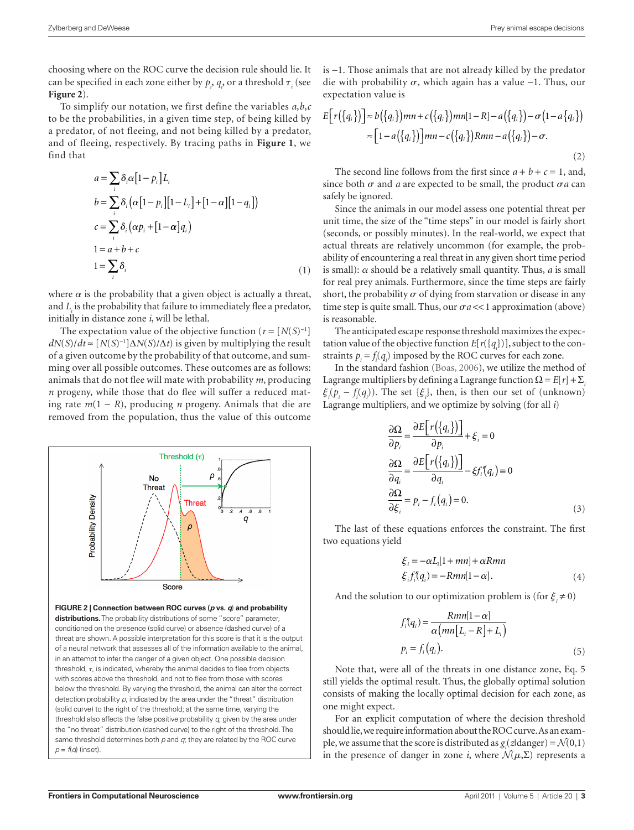choosing where on the ROC curve the decision rule should lie. It can be specified in each zone either by  $p_i$ ,  $q_i$ , or a threshold  $\tau$ <sub>i</sub> (see **Figure 2**).

To simplify our notation, we first define the variables *a*,*b*,*c* to be the probabilities, in a given time step, of being killed by a predator, of not fleeing, and not being killed by a predator, and of fleeing, respectively. By tracing paths in **Figure 1**, we find that

$$
a = \sum_{i} \delta_{i} \alpha [1 - p_{i}] L_{i}
$$
  
\n
$$
b = \sum_{i} \delta_{i} (\alpha [1 - p_{i}] [1 - L_{i}] + [1 - \alpha] [1 - q_{i}])
$$
  
\n
$$
c = \sum_{i} \delta_{i} (\alpha p_{i} + [1 - \alpha] q_{i})
$$
  
\n
$$
1 = a + b + c
$$
  
\n
$$
1 = \sum_{i} \delta_{i}
$$
 (1)

where  $\alpha$  is the probability that a given object is actually a threat, and  $L<sub>i</sub>$  is the probability that failure to immediately flee a predator, initially in distance zone *i*, will be lethal.

The expectation value of the objective function (*r* = [*N*(*S*)<sup>−</sup><sup>1</sup> ]  $dN(S)/dt \approx [N(S)^{-1}] \Delta N(S)/\Delta t$  is given by multiplying the result of a given outcome by the probability of that outcome, and summing over all possible outcomes. These outcomes are as follows: animals that do not flee will mate with probability *m*, producing *n* progeny, while those that do flee will suffer a reduced mating rate *m*(1 − *R*), producing *n* progeny. Animals that die are removed from the population, thus the value of this outcome



is −1. Those animals that are not already killed by the predator die with probability  $\sigma$ , which again has a value −1. Thus, our expectation value is

$$
E[r({q_i})] \approx b({q_i})mn + c({q_i})mn[1-R] - a({q_i}) - \sigma(1 - a{q_i})
$$
  

$$
\approx [1 - a({q_i})]mn - c({q_i})Rmn - a({q_i}) - \sigma.
$$
  
(2)

The second line follows from the first since  $a + b + c = 1$ , and, since both  $\sigma$  and *a* are expected to be small, the product  $\sigma$ *a* can safely be ignored.

Since the animals in our model assess one potential threat per unit time, the size of the "time steps" in our model is fairly short (seconds, or possibly minutes). In the real-world, we expect that actual threats are relatively uncommon (for example, the probability of encountering a real threat in any given short time period is small):  $\alpha$  should be a relatively small quantity. Thus,  $a$  is small for real prey animals. Furthermore, since the time steps are fairly short, the probability  $\sigma$  of dying from starvation or disease in any time step is quite small. Thus, our  $\sigma a \ll 1$  approximation (above) is reasonable.

The anticipated escape response threshold maximizes the expectation value of the objective function *E*[*r*({*qi* })], subject to the constraints  $p_i = f_i(q_i)$  imposed by the ROC curves for each zone.

In the standard fashion (Boas, 2006), we utilize the method of Lagrange multipliers by defining a Lagrange function  $\Omega = E[r] + \Sigma$  $\xi_i(p_i - f_i(q_i))$ . The set  $\{\xi_i\}$ , then, is then our set of (unknown) Lagrange multipliers, and we optimize by solving (for all *i*)

$$
\frac{\partial \Omega}{\partial p_i} = \frac{\partial E[r(\lbrace q_i \rbrace)]}{\partial p_i} + \xi_i = 0
$$
  

$$
\frac{\partial \Omega}{\partial q_i} = \frac{\partial E[r(\lbrace q_i \rbrace)]}{\partial q_i} - \xi f_i(q_i) = 0
$$
  

$$
\frac{\partial \Omega}{\partial \xi_i} = p_i - f_i(q_i) = 0.
$$
 (3)

The last of these equations enforces the constraint. The first two equations yield

$$
\xi_i = -\alpha L_i[1 + mn] + \alpha Rmn
$$
  
\n
$$
\xi_i f_i^{\dagger}(q_i) = -Rmn[1 - \alpha].
$$
\n(4)

And the solution to our optimization problem is (for  $\xi \neq 0$ )

$$
f_i'(q_i) = \frac{Rmn[1-\alpha]}{\alpha\left(mn[L_i - R] + L_i\right)}
$$
  

$$
p_i = f_i(q_i).
$$
 (5)

Note that, were all of the threats in one distance zone, Eq. 5 still yields the optimal result. Thus, the globally optimal solution consists of making the locally optimal decision for each zone, as one might expect.

For an explicit computation of where the decision threshold should lie, we require information about the ROC curve. As an example, we assume that the score is distributed as  $g_i(z)$  danger) =  $\mathcal{N}(0,1)$ in the presence of danger in zone *i*, where  $\mathcal{N}(\mu, \Sigma)$  represents a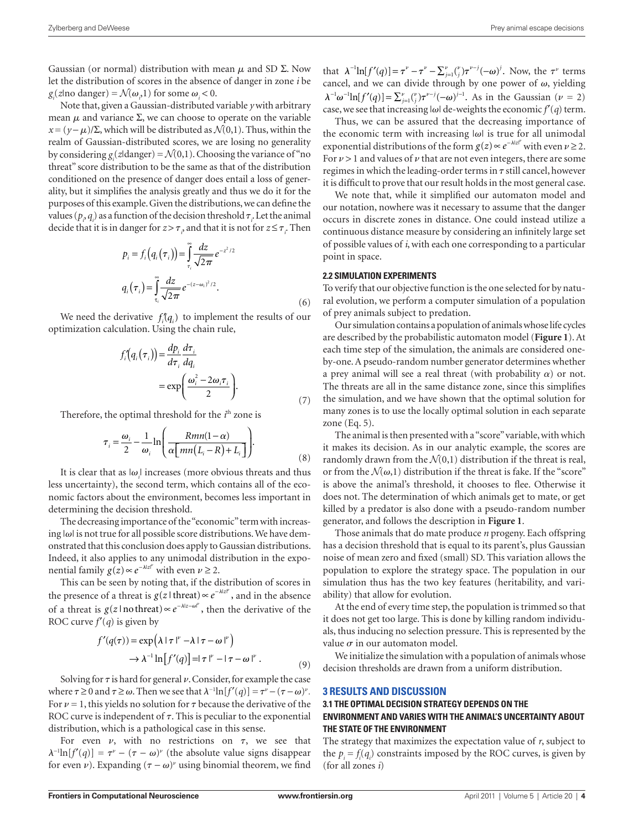Gaussian (or normal) distribution with mean  $\mu$  and SD  $\Sigma$ . Now let the distribution of scores in the absence of danger in zone *i* be  $g_i(z)$  modanger) =  $\mathcal{N}(\omega_i, 1)$  for some  $\omega_i < 0$ .

Note that, given a Gaussian-distributed variable *y* with arbitrary mean  $\mu$  and variance  $\Sigma$ , we can choose to operate on the variable  $x = (y - \mu)/\Sigma$ , which will be distributed as  $\mathcal{N}(0,1)$ . Thus, within the realm of Gaussian-distributed scores, we are losing no generality by considering  $g_i(z)$  danger) =  $\mathcal{N}(0,1)$ . Choosing the variance of "no threat" score distribution to be the same as that of the distribution conditioned on the presence of danger does entail a loss of generality, but it simplifies the analysis greatly and thus we do it for the purposes of this example. Given the distributions, we can define the values ( $p_{i}$ ,  $q_{i}$ ) as a function of the decision threshold  $\tau_{i}$ . Let the animal decide that it is in danger for  $z > \tau$ <sub>,</sub> and that it is not for  $z \leq \tau$ <sub>,</sub>. Then

$$
p_i = f_i\left(q_i\left(\tau_i\right)\right) = \int_{\tau_i}^{\infty} \frac{dz}{\sqrt{2\pi}} e^{-z^2/2}
$$

$$
q_i\left(\tau_i\right) = \int_{\tau_i}^{\infty} \frac{dz}{\sqrt{2\pi}} e^{-(z-\omega_i)^2/2}.
$$
(6)

We need the derivative  $f_i(q_i)$  to implement the results of our optimization calculation. Using the chain rule,

$$
f'_{i}(q_{i}(\tau_{i})) = \frac{dp_{i}}{d\tau_{i}} \frac{d\tau_{i}}{dq_{i}}
$$
  
= 
$$
\exp\left(\frac{\omega_{i}^{2} - 2\omega_{i}\tau_{i}}{2}\right).
$$
 (7)

Therefore, the optimal threshold for the *i*<sup>th</sup> zone is

$$
\tau_i = \frac{\omega_i}{2} - \frac{1}{\omega_i} \ln \left( \frac{Rmn(1-\alpha)}{\alpha \left[ mn(L_i - R) + L_i \right]} \right).
$$
\n(8)

It is clear that as  $|\omega_i|$  increases (more obvious threats and thus less uncertainty), the second term, which contains all of the economic factors about the environment, becomes less important in determining the decision threshold.

The decreasing importance of the "economic" term with increasing  $|\omega|$  is not true for all possible score distributions. We have demonstrated that this conclusion does apply to Gaussian distributions. Indeed, it also applies to any unimodal distribution in the exponential family  $g(z) \propto e^{-\lambda |z|^{\nu}}$  with even  $\nu \geq 2$ .

This can be seen by noting that, if the distribution of scores in the presence of a threat is  $g(z)$  threat)  $\propto e^{-\lambda |z|^p}$ , and in the absence of a threat is  $g(z \mid \text{no threat}) \propto e^{-\lambda |z - \omega|^{\nu}}$ , then the derivative of the ROC curve  $f'(q)$  is given by

$$
f'(q(\tau)) = \exp(\lambda |\tau|^{\nu} - \lambda |\tau - \omega|^{\nu})
$$
  

$$
\rightarrow \lambda^{-1} \ln[f'(q)] = |\tau|^{\nu} - |\tau - \omega|^{\nu}. \tag{9}
$$

Solving for  $\tau$  is hard for general  $\nu$ . Consider, for example the case where  $\tau \ge 0$  and  $\tau \ge \omega$ . Then we see that  $\lambda^{-1}\ln[f'(q)] = \tau^{\nu} - (\tau - \omega)^{\nu}$ . For  $\nu$  = 1, this yields no solution for  $\tau$  because the derivative of the ROC curve is independent of  $\tau$ . This is peculiar to the exponential distribution, which is a pathological case in this sense.

For even  $\nu$ , with no restrictions on  $\tau$ , we see that  $\lambda^{-1} \ln[f'(q)] = \tau^{\nu} - (\tau - \omega)^{\nu}$  (the absolute value signs disappear for even v). Expanding  $(\tau - \omega)^{\nu}$  using binomial theorem, we find

that  $\lambda^{-1} \ln[f'(q)] = \tau^{\nu} - \tau^{\nu} - \sum_{j=1}^{\nu} {(\gamma) \tau^{\nu-j}} (-\omega)^j$ . Now, the  $\tau^{\nu}$  terms cancel, and we can divide through by one power of  $\omega$ , yielding  $\lambda^{-1}\omega^{-1}\ln[f'(q)] = \sum_{j=1}^{\nu} {(\nu) \tau^{\nu-j}}(-\omega)^{j-1}$ . As in the Gaussian ( $\nu = 2$ ) case, we see that increasing  $|\omega|$  de-weights the economic  $f'(q)$  term.

Thus, we can be assured that the decreasing importance of the economic term with increasing  $|\omega|$  is true for all unimodal exponential distributions of the form  $g(z) \propto e^{-\lambda |z|^p}$  with even  $\nu \geq 2$ . For  $\nu$  > 1 and values of  $\nu$  that are not even integers, there are some regimes in which the leading-order terms in  $\tau$  still cancel, however it is difficult to prove that our result holds in the most general case.

We note that, while it simplified our automaton model and our notation, nowhere was it necessary to assume that the danger occurs in discrete zones in distance. One could instead utilize a continuous distance measure by considering an infinitely large set of possible values of *i*, with each one corresponding to a particular point in space.

## **2.2 Simulation Experiments**

To verify that our objective function is the one selected for by natural evolution, we perform a computer simulation of a population of prey animals subject to predation.

Our simulation contains a population of animals whose life cycles are described by the probabilistic automaton model (**Figure 1**). At each time step of the simulation, the animals are considered oneby-one. A pseudo-random number generator determines whether a prey animal will see a real threat (with probability  $\alpha$ ) or not. The threats are all in the same distance zone, since this simplifies the simulation, and we have shown that the optimal solution for many zones is to use the locally optimal solution in each separate zone (Eq. 5).

The animal is then presented with a "score" variable, with which it makes its decision. As in our analytic example, the scores are randomly drawn from the  $\mathcal{N}(0,1)$  distribution if the threat is real, or from the  $\mathcal{N}(\omega,1)$  distribution if the threat is fake. If the "score" is above the animal's threshold, it chooses to flee. Otherwise it does not. The determination of which animals get to mate, or get killed by a predator is also done with a pseudo-random number generator, and follows the description in **Figure 1**.

Those animals that do mate produce *n* progeny. Each offspring has a decision threshold that is equal to its parent's, plus Gaussian noise of mean zero and fixed (small) SD. This variation allows the population to explore the strategy space. The population in our simulation thus has the two key features (heritability, and variability) that allow for evolution.

At the end of every time step, the population is trimmed so that it does not get too large. This is done by killing random individuals, thus inducing no selection pressure. This is represented by the value  $\sigma$  in our automaton model.

We initialize the simulation with a population of animals whose decision thresholds are drawn from a uniform distribution.

## **3 Results and Discussion**

## **3.1 The optimal decision strategy depends on the environment and varies with the animal's uncertainty about the state of the environment**

The strategy that maximizes the expectation value of *r*, subject to the  $p_i = f_i(q_i)$  constraints imposed by the ROC curves, is given by (for all zones *i*)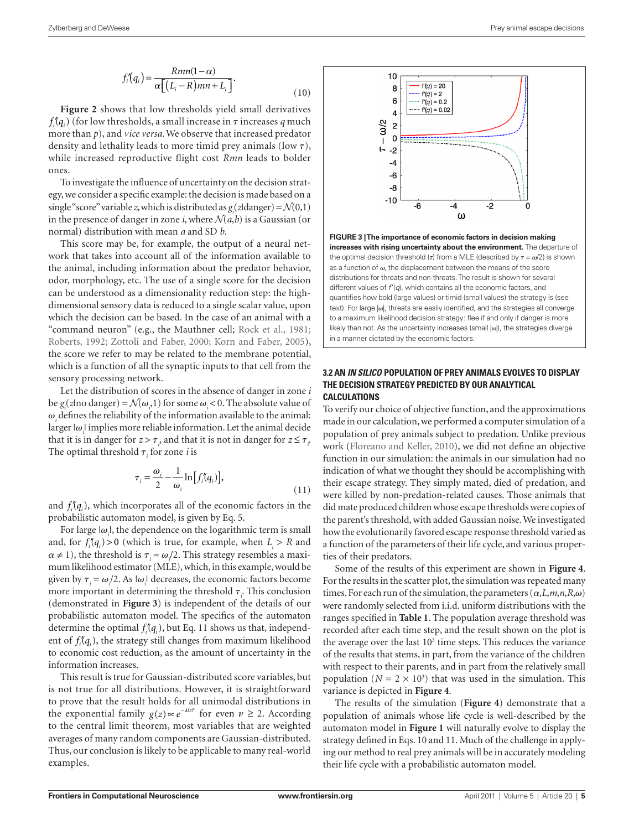$$
f_i'(q_i) = \frac{Rmn(1-\alpha)}{\alpha \left[ (L_i - R)mn + L_i \right]}.
$$
\n(10)

**Figure 2** shows that low thresholds yield small derivatives  $f_i(q_i)$  (for low thresholds, a small increase in  $\tau$  increases  $q$  much more than *p*), and *vice versa*. We observe that increased predator density and lethality leads to more timid prey animals (low  $\tau$ ), while increased reproductive flight cost *Rmn* leads to bolder ones.

To investigate the influence of uncertainty on the decision strategy, we consider a specific example: the decision is made based on a single "score" variable *z*, which is distributed as  $g_i$  (*z*|danger) =  $\mathcal{N}(0,1)$ in the presence of danger in zone *i*, where  $\mathcal{N}(a,b)$  is a Gaussian (or normal) distribution with mean *a* and SD *b*.

This score may be, for example, the output of a neural network that takes into account all of the information available to the animal, including information about the predator behavior, odor, morphology, etc. The use of a single score for the decision can be understood as a dimensionality reduction step: the highdimensional sensory data is reduced to a single scalar value, upon which the decision can be based. In the case of an animal with a "command neuron" (e.g., the Mauthner cell; Rock et al., 1981; Roberts, 1992; Zottoli and Faber, 2000; Korn and Faber, 2005), the score we refer to may be related to the membrane potential, which is a function of all the synaptic inputs to that cell from the sensory processing network.

Let the distribution of scores in the absence of danger in zone *i* be  $g_i$ (z|no danger) =  $\mathcal{N}(\omega_i)$  for some  $\omega_i$  < 0. The absolute value of  $\omega$ <sub>*i*</sub> defines the reliability of the information available to the animal: larger  $|\omega_{i}|$  implies more reliable information. Let the animal decide that it is in danger for  $z > \tau_{\rho}$  and that it is not in danger for  $z \leq \tau_{\rho}$ . The optimal threshold  $\tau$ <sub>*i*</sub> for zone *i* is

$$
\tau_i = \frac{\omega_i}{2} - \frac{1}{\omega_i} \ln \left[ f_i(q_i) \right],\tag{11}
$$

and  $f_i(q_i)$ , which incorporates all of the economic factors in the probabilistic automaton model, is given by Eq. 5.

For large  $|\omega_{i}$ , the dependence on the logarithmic term is small and, for  $f_i(q_i) > 0$  (which is true, for example, when  $L_i > R$  and  $\alpha \neq 1$ ), the threshold is  $\tau_i \approx \omega/2$ . This strategy resembles a maximum likelihood estimator (MLE), which, in this example, would be given by  $\tau_i = \omega/2$ . As  $|\omega_i|$  decreases, the economic factors become more important in determining the threshold  $\tau$ <sub>*i*</sub>. This conclusion (demonstrated in **Figure 3**) is independent of the details of our probabilistic automaton model. The specifics of the automaton determine the optimal  $f_i(q_i)$ , but Eq. 11 shows us that, independent of  $f_i(q_i)$ , the strategy still changes from maximum likelihood to economic cost reduction, as the amount of uncertainty in the information increases.

This result is true for Gaussian-distributed score variables, but is not true for all distributions. However, it is straightforward to prove that the result holds for all unimodal distributions in the exponential family  $g(z) \propto e^{-\lambda |z|^{v}}$  for even  $v \ge 2$ . According to the central limit theorem, most variables that are weighted averages of many random components are Gaussian-distributed. Thus, our conclusion is likely to be applicable to many real-world examples.



**Figure 3 | The importance of economic factors in decision making increases with rising uncertainty about the environment.** The departure of the optimal decision threshold ( $\tau$ ) from a MLE (described by  $\tau = \omega/2$ ) is shown as a function of  $\omega$  the displacement between the means of the score distributions for threats and non-threats. The result is shown for several different values of *f*′(*q*), which contains all the economic factors, and quantifies how bold (large values) or timid (small values) the strategy is (see text). For large  $|\omega|$ , threats are easily identified, and the strategies all converge to a maximum likelihood decision strategy: flee if and only if danger is more likely than not. As the uncertainty increases (small  $|\omega|$ ), the strategies diverge in a manner dictated by the economic factors.

## **3.2 An** *in silico* **population of prey animals evolves to display the decision strategy predicted by our analytical calculations**

To verify our choice of objective function, and the approximations made in our calculation, we performed a computer simulation of a population of prey animals subject to predation. Unlike previous work (Floreano and Keller, 2010), we did not define an objective function in our simulation: the animals in our simulation had no indication of what we thought they should be accomplishing with their escape strategy. They simply mated, died of predation, and were killed by non-predation-related causes. Those animals that did mate produced children whose escape thresholds were copies of the parent's threshold, with added Gaussian noise. We investigated how the evolutionarily favored escape response threshold varied as a function of the parameters of their life cycle, and various properties of their predators.

Some of the results of this experiment are shown in **Figure 4**. For the results in the scatter plot, the simulation was repeated many times. For each run of the simulation, the parameters  $(\alpha, L, m, n, R, \omega)$ were randomly selected from i.i.d. uniform distributions with the ranges specified in **Table 1**. The population average threshold was recorded after each time step, and the result shown on the plot is the average over the last  $10<sup>3</sup>$  time steps. This reduces the variance of the results that stems, in part, from the variance of the children with respect to their parents, and in part from the relatively small population ( $N = 2 \times 10^3$ ) that was used in the simulation. This variance is depicted in **Figure 4**.

The results of the simulation (**Figure 4**) demonstrate that a population of animals whose life cycle is well-described by the automaton model in **Figure 1** will naturally evolve to display the strategy defined in Eqs. 10 and 11. Much of the challenge in applying our method to real prey animals will be in accurately modeling their life cycle with a probabilistic automaton model.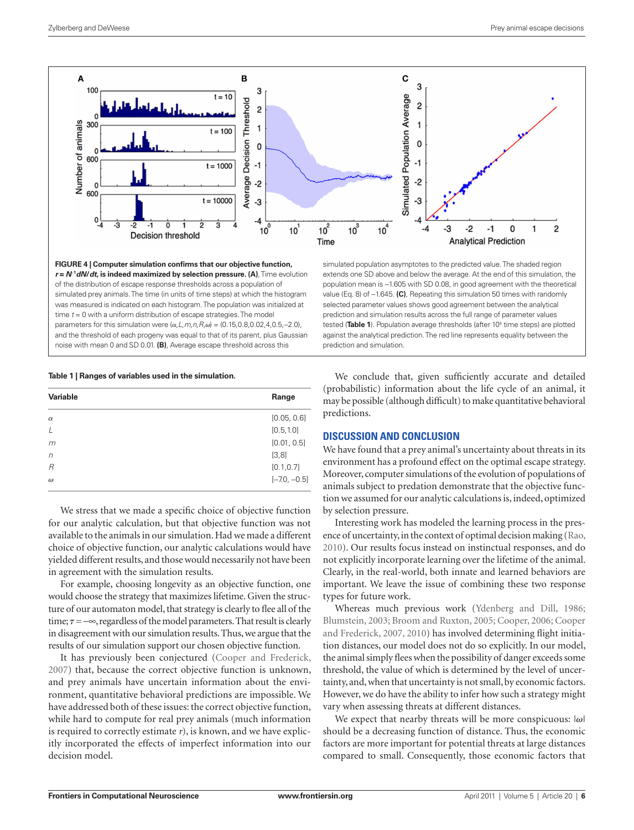

**Figure 4 | Computer simulation confirms that our objective function,**  *r* **=** *N*−**<sup>1</sup>** *dN***/***dt***, is indeed maximized by selection pressure. (A)**, Time evolution of the distribution of escape response thresholds across a population of simulated prey animals. The time (in units of time steps) at which the histogram was measured is indicated on each histogram. The population was initialized at time *t* = 0 with a uniform distribution of escape strategies. The model parameters for this simulation were  $(α, L, m, n, R, ω) = (0.15, 0.8, 0.02, 4, 0.5, -2.0)$ , and the threshold of each progeny was equal to that of its parent, plus Gaussian noise with mean 0 and SD 0.01. **(B)**, Average escape threshold across this

## simulated population asymptotes to the predicted value. The shaded region extends one SD above and below the average. At the end of this simulation, the population mean is −1.605 with SD 0.08, in good agreement with the theoretical value (Eq. 8) of −1.645. **(C)**, Repeating this simulation 50 times with randomly selected parameter values shows good agreement between the analytical prediction and simulation results across the full range of parameter values tested (**Table 1**). Population average thresholds (after 104 time steps) are plotted against the analytical prediction. The red line represents equality between the prediction and simulation.

### **Table 1 | Ranges of variables used in the simulation.**

| <b>Variable</b> | Range          |
|-----------------|----------------|
| $\alpha$        | [0.05, 0.6]    |
| $\perp$         | [0.5, 1.0]     |
| m               | [0.01, 0.5]    |
| $\sqrt{n}$      | [3, 8]         |
| $\overline{R}$  | [0.1, 0.7]     |
| $\omega$        | $[-7.0, -0.5]$ |

We stress that we made a specific choice of objective function for our analytic calculation, but that objective function was not available to the animals in our simulation. Had we made a different choice of objective function, our analytic calculations would have yielded different results, and those would necessarily not have been in agreement with the simulation results.

For example, choosing longevity as an objective function, one would choose the strategy that maximizes lifetime. Given the structure of our automaton model, that strategy is clearly to flee all of the time;  $\tau$  = −∞, regardless of the model parameters. That result is clearly in disagreement with our simulation results. Thus, we argue that the results of our simulation support our chosen objective function.

It has previously been conjectured (Cooper and Frederick, 2007) that, because the correct objective function is unknown, and prey animals have uncertain information about the environment, quantitative behavioral predictions are impossible. We have addressed both of these issues: the correct objective function, while hard to compute for real prey animals (much information is required to correctly estimate *r*), is known, and we have explicitly incorporated the effects of imperfect information into our decision model.

We conclude that, given sufficiently accurate and detailed (probabilistic) information about the life cycle of an animal, it may be possible (although difficult) to make quantitative behavioral predictions.

## **Discussion and Conclusion**

We have found that a prey animal's uncertainty about threats in its environment has a profound effect on the optimal escape strategy. Moreover, computer simulations of the evolution of populations of animals subject to predation demonstrate that the objective function we assumed for our analytic calculations is, indeed, optimized by selection pressure.

Interesting work has modeled the learning process in the presence of uncertainty, in the context of optimal decision making (Rao, 2010). Our results focus instead on instinctual responses, and do not explicitly incorporate learning over the lifetime of the animal. Clearly, in the real-world, both innate and learned behaviors are important. We leave the issue of combining these two response types for future work.

Whereas much previous work (Ydenberg and Dill, 1986; Blumstein, 2003; Broom and Ruxton, 2005; Cooper, 2006; Cooper and Frederick, 2007, 2010) has involved determining flight initiation distances, our model does not do so explicitly. In our model, the animal simply flees when the possibility of danger exceeds some threshold, the value of which is determined by the level of uncertainty, and, when that uncertainty is not small, by economic factors. However, we do have the ability to infer how such a strategy might vary when assessing threats at different distances.

We expect that nearby threats will be more conspicuous:  $|\omega|$ should be a decreasing function of distance. Thus, the economic factors are more important for potential threats at large distances compared to small. Consequently, those economic factors that